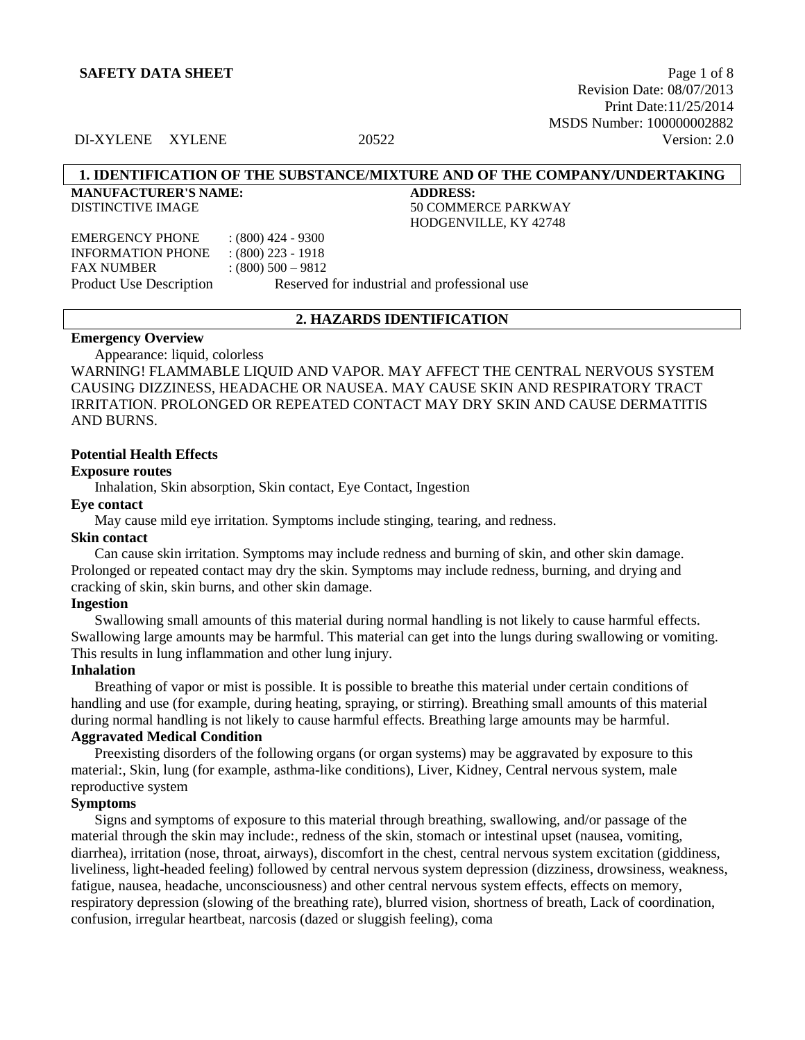Revision Date: 08/07/2013 Print Date:11/25/2014 MSDS Number: 100000002882 DI-XYLENE XYLENE 20522 Version: 2.0

### **1. IDENTIFICATION OF THE SUBSTANCE/MIXTURE AND OF THE COMPANY/UNDERTAKING**

HODGENVILLE, KY 42748

**MANUFACTURER'S NAME: ADDRESS:** DISTINCTIVE IMAGE 50 COMMERCE PARKWAY

EMERGENCY PHONE : (800) 424 - 9300 INFORMATION PHONE : (800) 223 - 1918 FAX NUMBER : (800) 500 – 9812 Product Use Description Reserved for industrial and professional use

#### **2. HAZARDS IDENTIFICATION**

## **Emergency Overview**

Appearance: liquid, colorless

WARNING! FLAMMABLE LIQUID AND VAPOR. MAY AFFECT THE CENTRAL NERVOUS SYSTEM CAUSING DIZZINESS, HEADACHE OR NAUSEA. MAY CAUSE SKIN AND RESPIRATORY TRACT IRRITATION. PROLONGED OR REPEATED CONTACT MAY DRY SKIN AND CAUSE DERMATITIS AND BURNS.

#### **Potential Health Effects**

#### **Exposure routes**

Inhalation, Skin absorption, Skin contact, Eye Contact, Ingestion

### **Eye contact**

May cause mild eye irritation. Symptoms include stinging, tearing, and redness.

#### **Skin contact**

Can cause skin irritation. Symptoms may include redness and burning of skin, and other skin damage. Prolonged or repeated contact may dry the skin. Symptoms may include redness, burning, and drying and cracking of skin, skin burns, and other skin damage.

#### **Ingestion**

Swallowing small amounts of this material during normal handling is not likely to cause harmful effects. Swallowing large amounts may be harmful. This material can get into the lungs during swallowing or vomiting. This results in lung inflammation and other lung injury.

### **Inhalation**

Breathing of vapor or mist is possible. It is possible to breathe this material under certain conditions of handling and use (for example, during heating, spraying, or stirring). Breathing small amounts of this material during normal handling is not likely to cause harmful effects. Breathing large amounts may be harmful.

# **Aggravated Medical Condition**

Preexisting disorders of the following organs (or organ systems) may be aggravated by exposure to this material:, Skin, lung (for example, asthma-like conditions), Liver, Kidney, Central nervous system, male reproductive system

### **Symptoms**

Signs and symptoms of exposure to this material through breathing, swallowing, and/or passage of the material through the skin may include:, redness of the skin, stomach or intestinal upset (nausea, vomiting, diarrhea), irritation (nose, throat, airways), discomfort in the chest, central nervous system excitation (giddiness, liveliness, light-headed feeling) followed by central nervous system depression (dizziness, drowsiness, weakness, fatigue, nausea, headache, unconsciousness) and other central nervous system effects, effects on memory, respiratory depression (slowing of the breathing rate), blurred vision, shortness of breath, Lack of coordination, confusion, irregular heartbeat, narcosis (dazed or sluggish feeling), coma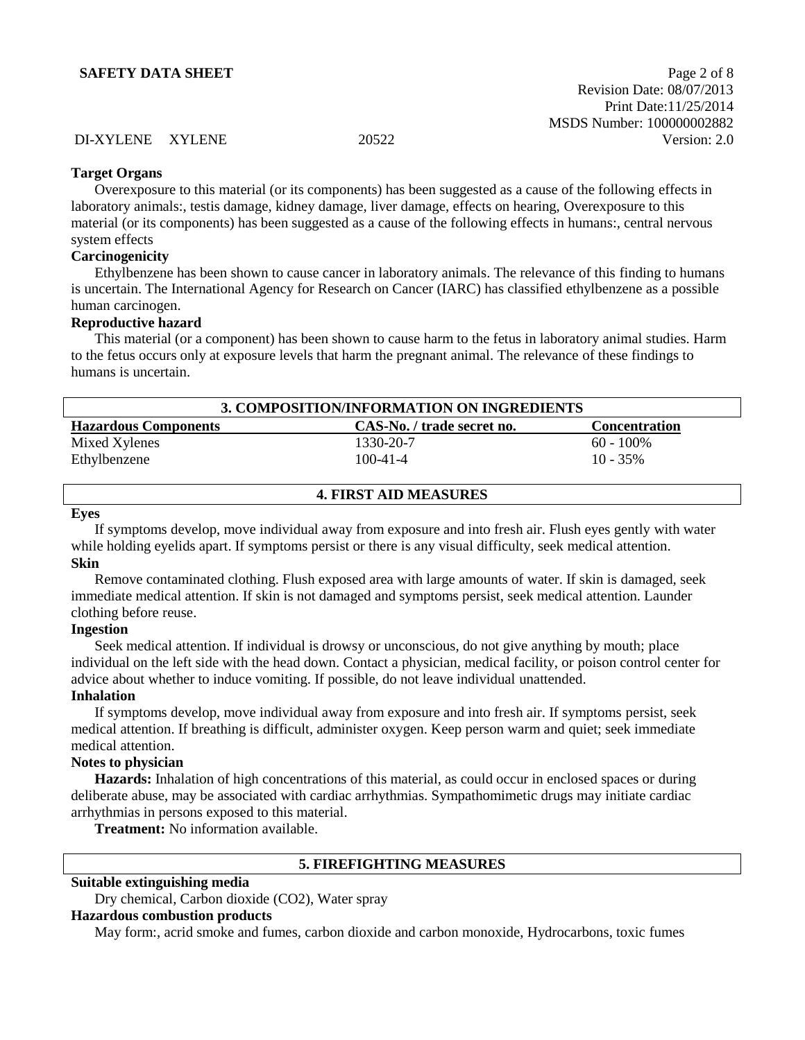# **Target Organs**

Overexposure to this material (or its components) has been suggested as a cause of the following effects in laboratory animals:, testis damage, kidney damage, liver damage, effects on hearing, Overexposure to this material (or its components) has been suggested as a cause of the following effects in humans:, central nervous system effects

## **Carcinogenicity**

Ethylbenzene has been shown to cause cancer in laboratory animals. The relevance of this finding to humans is uncertain. The International Agency for Research on Cancer (IARC) has classified ethylbenzene as a possible human carcinogen.

### **Reproductive hazard**

This material (or a component) has been shown to cause harm to the fetus in laboratory animal studies. Harm to the fetus occurs only at exposure levels that harm the pregnant animal. The relevance of these findings to humans is uncertain.

| 3. COMPOSITION/INFORMATION ON INGREDIENTS                                         |           |              |  |  |  |
|-----------------------------------------------------------------------------------|-----------|--------------|--|--|--|
| <b>Hazardous Components</b><br>CAS-No. / trade secret no.<br><b>Concentration</b> |           |              |  |  |  |
| Mixed Xylenes                                                                     | 1330-20-7 | $60 - 100\%$ |  |  |  |
| Ethylbenzene                                                                      | 100-41-4  | $10 - 35\%$  |  |  |  |
|                                                                                   |           |              |  |  |  |

| <b>4. FIRST AID MEASURES</b> |  |
|------------------------------|--|
|                              |  |

#### **Eyes**

If symptoms develop, move individual away from exposure and into fresh air. Flush eyes gently with water while holding eyelids apart. If symptoms persist or there is any visual difficulty, seek medical attention. **Skin**

Remove contaminated clothing. Flush exposed area with large amounts of water. If skin is damaged, seek immediate medical attention. If skin is not damaged and symptoms persist, seek medical attention. Launder clothing before reuse.

### **Ingestion**

Seek medical attention. If individual is drowsy or unconscious, do not give anything by mouth; place individual on the left side with the head down. Contact a physician, medical facility, or poison control center for advice about whether to induce vomiting. If possible, do not leave individual unattended.

# **Inhalation**

If symptoms develop, move individual away from exposure and into fresh air. If symptoms persist, seek medical attention. If breathing is difficult, administer oxygen. Keep person warm and quiet; seek immediate medical attention.

# **Notes to physician**

**Hazards:** Inhalation of high concentrations of this material, as could occur in enclosed spaces or during deliberate abuse, may be associated with cardiac arrhythmias. Sympathomimetic drugs may initiate cardiac arrhythmias in persons exposed to this material.

**Treatment:** No information available.

# **5. FIREFIGHTING MEASURES**

## **Suitable extinguishing media**

Dry chemical, Carbon dioxide (CO2), Water spray

### **Hazardous combustion products**

May form:, acrid smoke and fumes, carbon dioxide and carbon monoxide, Hydrocarbons, toxic fumes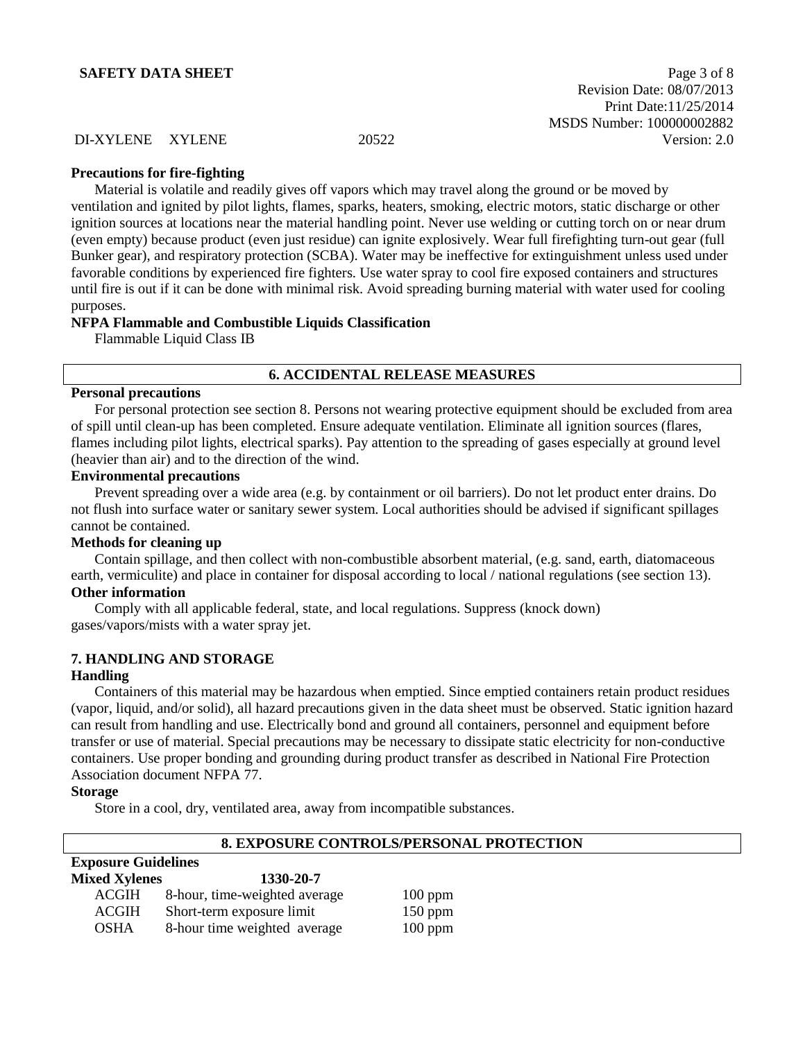**SAFETY DATA SHEET** Page 3 of 8 Revision Date: 08/07/2013 Print Date:11/25/2014 MSDS Number: 100000002882 DI-XYLENE XYLENE 20522 Version: 2.0

#### **Precautions for fire-fighting**

Material is volatile and readily gives off vapors which may travel along the ground or be moved by ventilation and ignited by pilot lights, flames, sparks, heaters, smoking, electric motors, static discharge or other ignition sources at locations near the material handling point. Never use welding or cutting torch on or near drum (even empty) because product (even just residue) can ignite explosively. Wear full firefighting turn-out gear (full Bunker gear), and respiratory protection (SCBA). Water may be ineffective for extinguishment unless used under favorable conditions by experienced fire fighters. Use water spray to cool fire exposed containers and structures until fire is out if it can be done with minimal risk. Avoid spreading burning material with water used for cooling purposes.

#### **NFPA Flammable and Combustible Liquids Classification**

Flammable Liquid Class IB

#### **6. ACCIDENTAL RELEASE MEASURES**

### **Personal precautions**

For personal protection see section 8. Persons not wearing protective equipment should be excluded from area of spill until clean-up has been completed. Ensure adequate ventilation. Eliminate all ignition sources (flares, flames including pilot lights, electrical sparks). Pay attention to the spreading of gases especially at ground level (heavier than air) and to the direction of the wind.

## **Environmental precautions**

Prevent spreading over a wide area (e.g. by containment or oil barriers). Do not let product enter drains. Do not flush into surface water or sanitary sewer system. Local authorities should be advised if significant spillages cannot be contained.

#### **Methods for cleaning up**

Contain spillage, and then collect with non-combustible absorbent material, (e.g. sand, earth, diatomaceous earth, vermiculite) and place in container for disposal according to local / national regulations (see section 13).

# **Other information**

Comply with all applicable federal, state, and local regulations. Suppress (knock down) gases/vapors/mists with a water spray jet.

#### **7. HANDLING AND STORAGE**

#### **Handling**

Containers of this material may be hazardous when emptied. Since emptied containers retain product residues (vapor, liquid, and/or solid), all hazard precautions given in the data sheet must be observed. Static ignition hazard can result from handling and use. Electrically bond and ground all containers, personnel and equipment before transfer or use of material. Special precautions may be necessary to dissipate static electricity for non-conductive containers. Use proper bonding and grounding during product transfer as described in National Fire Protection Association document NFPA 77.

#### **Storage**

Store in a cool, dry, ventilated area, away from incompatible substances.

|                            |                               | <u>0. EAFUSUNE CUNTNULS/FENSUNAL FNUTEC</u> |
|----------------------------|-------------------------------|---------------------------------------------|
| <b>Exposure Guidelines</b> |                               |                                             |
| <b>Mixed Xylenes</b>       | 1330-20-7                     |                                             |
| ACGIH                      | 8-hour, time-weighted average | $100$ ppm                                   |
| <b>ACGIH</b>               | Short-term exposure limit     | $150$ ppm                                   |
| <b>OSHA</b>                | 8-hour time weighted average  | $100$ ppm                                   |

# **8. EXPOSURE CONTROLS/PERSONAL PROTECTION**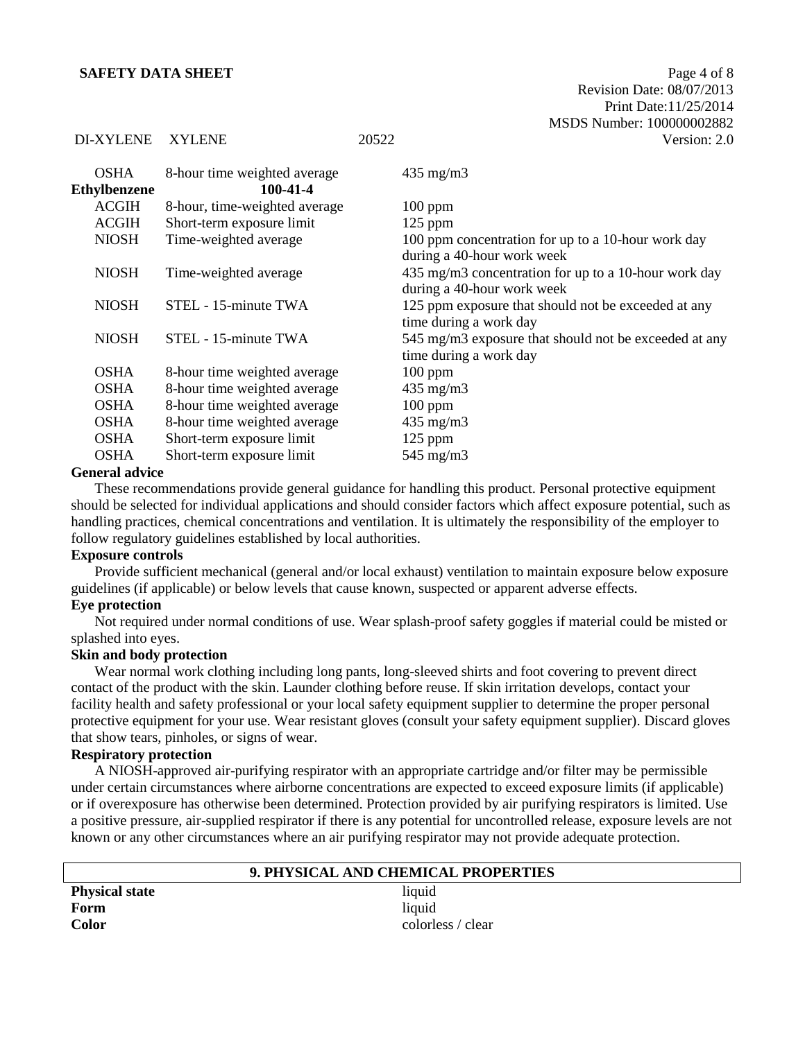| <b>OSHA</b><br><b>Ethylbenzene</b> | 8-hour time weighted average<br>100-41-4 | $435 \text{ mg/m}$                                                                 |
|------------------------------------|------------------------------------------|------------------------------------------------------------------------------------|
| ACGIH                              | 8-hour, time-weighted average            | $100$ ppm                                                                          |
| <b>ACGIH</b>                       | Short-term exposure limit                | $125$ ppm                                                                          |
| <b>NIOSH</b>                       | Time-weighted average                    | 100 ppm concentration for up to a 10-hour work day<br>during a 40-hour work week   |
| <b>NIOSH</b>                       | Time-weighted average                    | 435 mg/m3 concentration for up to a 10-hour work day<br>during a 40-hour work week |
| <b>NIOSH</b>                       | STEL - 15-minute TWA                     | 125 ppm exposure that should not be exceeded at any<br>time during a work day      |
| <b>NIOSH</b>                       | STEL - 15-minute TWA                     | 545 mg/m3 exposure that should not be exceeded at any<br>time during a work day    |
| <b>OSHA</b>                        | 8-hour time weighted average             | $100$ ppm                                                                          |
| <b>OSHA</b>                        | 8-hour time weighted average             | $435 \text{ mg/m}$                                                                 |
| <b>OSHA</b>                        | 8-hour time weighted average             | $100$ ppm                                                                          |
| <b>OSHA</b>                        | 8-hour time weighted average             | $435 \text{ mg/m}$                                                                 |
| <b>OSHA</b>                        | Short-term exposure limit                | $125$ ppm                                                                          |
| <b>OSHA</b>                        | Short-term exposure limit                | $545$ mg/m $3$                                                                     |

#### **General advice**

These recommendations provide general guidance for handling this product. Personal protective equipment should be selected for individual applications and should consider factors which affect exposure potential, such as handling practices, chemical concentrations and ventilation. It is ultimately the responsibility of the employer to follow regulatory guidelines established by local authorities.

### **Exposure controls**

Provide sufficient mechanical (general and/or local exhaust) ventilation to maintain exposure below exposure guidelines (if applicable) or below levels that cause known, suspected or apparent adverse effects.

# **Eye protection**

Not required under normal conditions of use. Wear splash-proof safety goggles if material could be misted or splashed into eyes.

### **Skin and body protection**

Wear normal work clothing including long pants, long-sleeved shirts and foot covering to prevent direct contact of the product with the skin. Launder clothing before reuse. If skin irritation develops, contact your facility health and safety professional or your local safety equipment supplier to determine the proper personal protective equipment for your use. Wear resistant gloves (consult your safety equipment supplier). Discard gloves that show tears, pinholes, or signs of wear.

# **Respiratory protection**

A NIOSH-approved air-purifying respirator with an appropriate cartridge and/or filter may be permissible under certain circumstances where airborne concentrations are expected to exceed exposure limits (if applicable) or if overexposure has otherwise been determined. Protection provided by air purifying respirators is limited. Use a positive pressure, air-supplied respirator if there is any potential for uncontrolled release, exposure levels are not known or any other circumstances where an air purifying respirator may not provide adequate protection.

| 9. PHYSICAL AND CHEMICAL PROPERTIES |                   |  |
|-------------------------------------|-------------------|--|
| <b>Physical state</b>               | liquid            |  |
| Form                                | liquid            |  |
| <b>Color</b>                        | colorless / clear |  |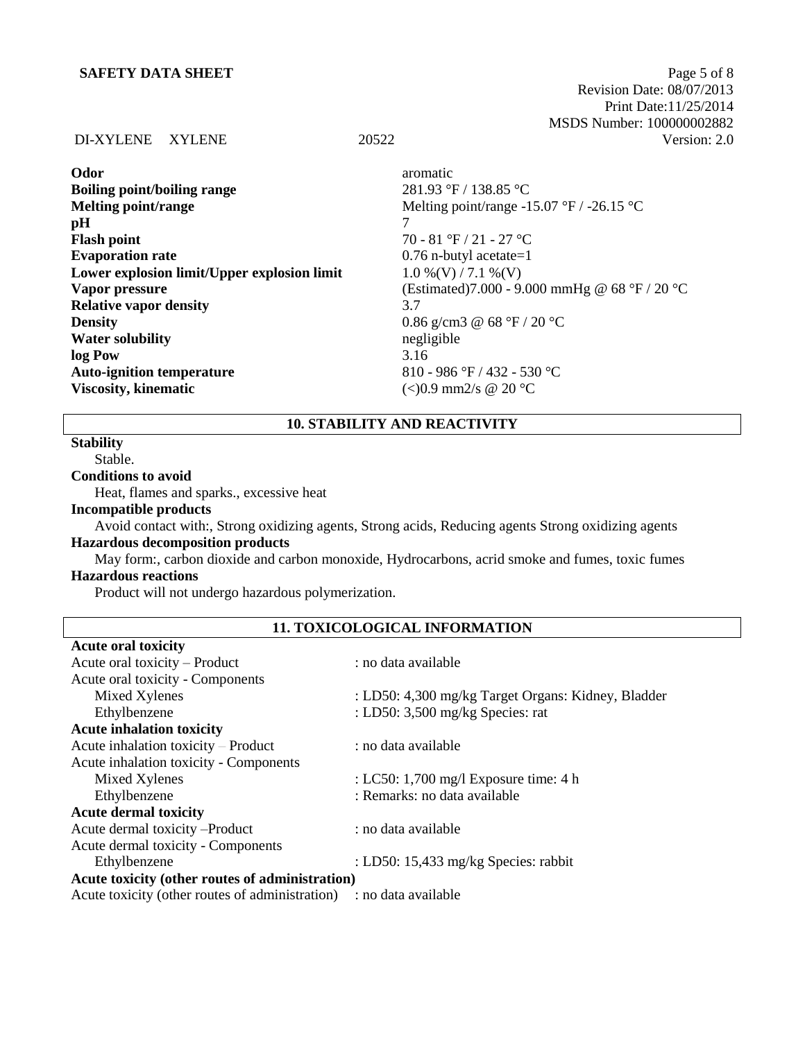# **SAFETY DATA SHEET** Page 5 of 8

 Revision Date: 08/07/2013 Print Date:11/25/2014 MSDS Number: 100000002882 DI-XYLENE XYLENE 20522 Version: 2.0

| Odor                                        | aromatic                                                  |
|---------------------------------------------|-----------------------------------------------------------|
| <b>Boiling point/boiling range</b>          | 281.93 °F / 138.85 °C                                     |
| <b>Melting point/range</b>                  | Melting point/range -15.07 °F / -26.15 °C                 |
| pH                                          |                                                           |
| <b>Flash point</b>                          | 70 - 81 °F / 21 - 27 °C                                   |
| <b>Evaporation rate</b>                     | $0.76$ n-butyl acetate=1                                  |
| Lower explosion limit/Upper explosion limit | $1.0\%$ (V) / 7.1 %(V)                                    |
| Vapor pressure                              | (Estimated)7.000 - 9.000 mmHg @ 68 °F / 20 °C             |
| <b>Relative vapor density</b>               | 3.7                                                       |
| <b>Density</b>                              | 0.86 g/cm3 @ 68 $\degree$ F / 20 $\degree$ C              |
| <b>Water solubility</b>                     | negligible                                                |
| log Pow                                     | 3.16                                                      |
| <b>Auto-ignition temperature</b>            | 810 - 986 °F / 432 - 530 °C                               |
| <b>Viscosity, kinematic</b>                 | $\langle 0.9 \text{ mm2/s} \otimes 20 \text{ °C} \rangle$ |
|                                             |                                                           |

# **10. STABILITY AND REACTIVITY**

# **Stability**

Stable.

# **Conditions to avoid**

Heat, flames and sparks., excessive heat

# **Incompatible products**

Avoid contact with:, Strong oxidizing agents, Strong acids, Reducing agents Strong oxidizing agents **Hazardous decomposition products**

# May form:, carbon dioxide and carbon monoxide, Hydrocarbons, acrid smoke and fumes, toxic fumes **Hazardous reactions**

Product will not undergo hazardous polymerization.

# **11. TOXICOLOGICAL INFORMATION**

| <b>Acute oral toxicity</b>                      |                                                    |
|-------------------------------------------------|----------------------------------------------------|
| Acute oral toxicity – Product                   | : no data available                                |
| Acute oral toxicity - Components                |                                                    |
| Mixed Xylenes                                   | : LD50: 4,300 mg/kg Target Organs: Kidney, Bladder |
| Ethylbenzene                                    | : LD50: 3,500 mg/kg Species: rat                   |
| <b>Acute inhalation toxicity</b>                |                                                    |
| Acute inhalation toxicity – Product             | : no data available                                |
| Acute inhalation toxicity - Components          |                                                    |
| Mixed Xylenes                                   | : LC50: 1,700 mg/l Exposure time: 4 h              |
| Ethylbenzene                                    | : Remarks: no data available                       |
| <b>Acute dermal toxicity</b>                    |                                                    |
| Acute dermal toxicity --Product                 | : no data available                                |
| Acute dermal toxicity - Components              |                                                    |
| Ethylbenzene                                    | : LD50: 15,433 mg/kg Species: rabbit               |
| Acute toxicity (other routes of administration) |                                                    |
| Acute toxicity (other routes of administration) | : no data available                                |
|                                                 |                                                    |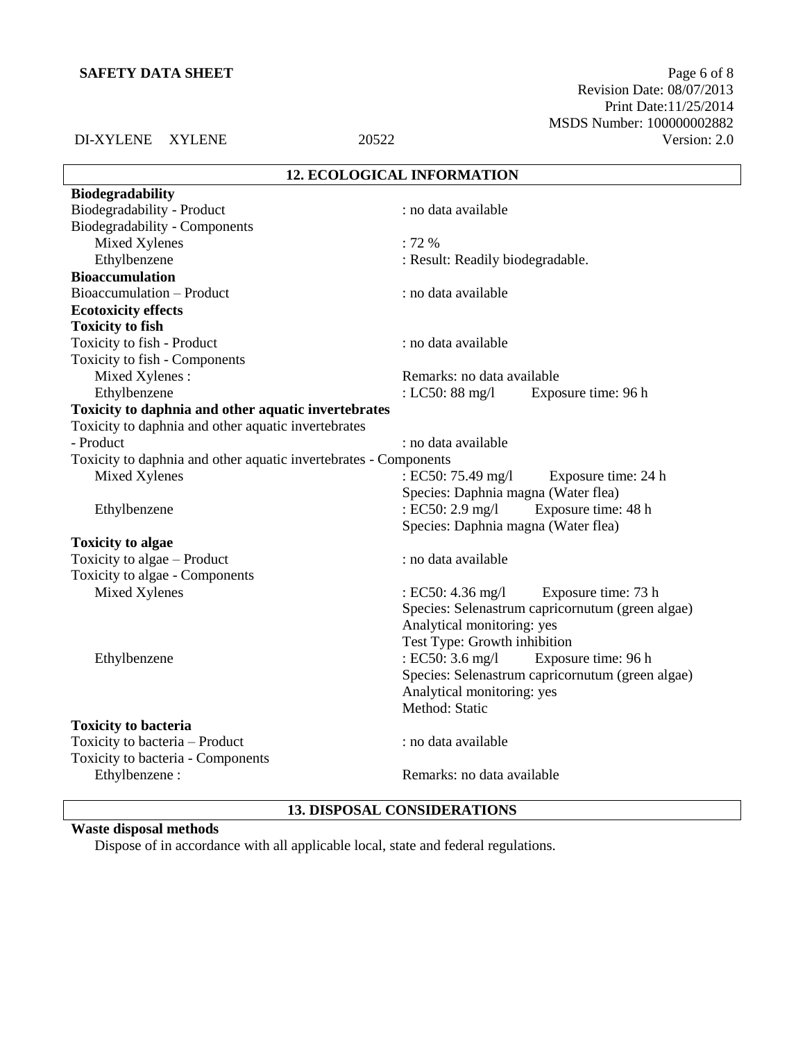Revision Date: 08/07/2013 Print Date:11/25/2014 MSDS Number: 100000002882 DI-XYLENE XYLENE 20522 Version: 2.0

# **12. ECOLOGICAL INFORMATION**

| <b>Biodegradability</b>                                          |                                                  |
|------------------------------------------------------------------|--------------------------------------------------|
| Biodegradability - Product                                       | : no data available                              |
| Biodegradability - Components                                    |                                                  |
| Mixed Xylenes                                                    | $: 72 \%$                                        |
| Ethylbenzene                                                     | : Result: Readily biodegradable.                 |
| <b>Bioaccumulation</b>                                           |                                                  |
| Bioaccumulation - Product                                        | : no data available                              |
| <b>Ecotoxicity effects</b>                                       |                                                  |
| <b>Toxicity to fish</b>                                          |                                                  |
| Toxicity to fish - Product                                       | : no data available                              |
| Toxicity to fish - Components                                    |                                                  |
| Mixed Xylenes:                                                   | Remarks: no data available                       |
| Ethylbenzene                                                     | : LC50: $88 \text{ mg/l}$<br>Exposure time: 96 h |
| Toxicity to daphnia and other aquatic invertebrates              |                                                  |
| Toxicity to daphnia and other aquatic invertebrates              |                                                  |
| - Product                                                        | : no data available                              |
| Toxicity to daphnia and other aquatic invertebrates - Components |                                                  |
| Mixed Xylenes                                                    | : EC50: 75.49 mg/l<br>Exposure time: 24 h        |
|                                                                  | Species: Daphnia magna (Water flea)              |
| Ethylbenzene                                                     | : EC50: 2.9 mg/l<br>Exposure time: 48 h          |
|                                                                  | Species: Daphnia magna (Water flea)              |
| <b>Toxicity to algae</b>                                         |                                                  |
| Toxicity to algae – Product                                      | : no data available                              |
| Toxicity to algae - Components                                   |                                                  |
| Mixed Xylenes                                                    | : EC50: 4.36 mg/l<br>Exposure time: 73 h         |
|                                                                  | Species: Selenastrum capricornutum (green algae) |
|                                                                  | Analytical monitoring: yes                       |
|                                                                  | Test Type: Growth inhibition                     |
| Ethylbenzene                                                     | : EC50: 3.6 mg/l<br>Exposure time: 96 h          |
|                                                                  | Species: Selenastrum capricornutum (green algae) |
|                                                                  | Analytical monitoring: yes                       |
|                                                                  | Method: Static                                   |
| <b>Toxicity to bacteria</b>                                      |                                                  |
| Toxicity to bacteria - Product                                   | : no data available                              |
| Toxicity to bacteria - Components                                |                                                  |
| Ethylbenzene:                                                    | Remarks: no data available                       |
|                                                                  |                                                  |

# **13. DISPOSAL CONSIDERATIONS**

# **Waste disposal methods**

Dispose of in accordance with all applicable local, state and federal regulations.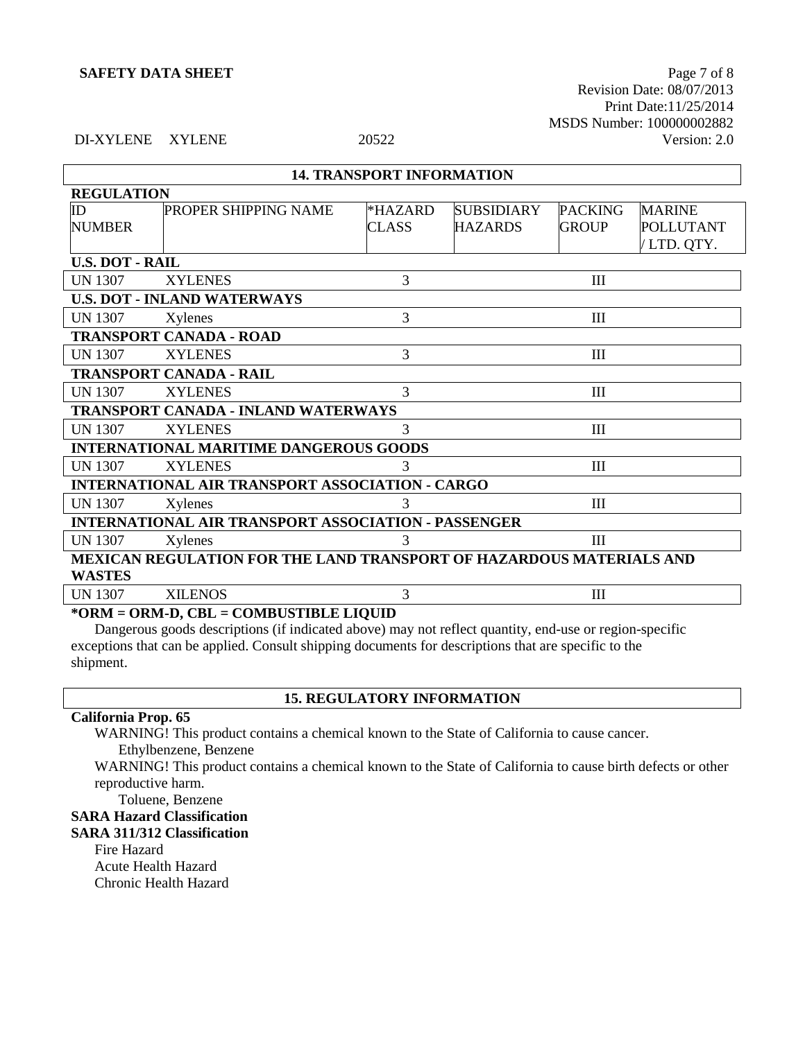**SAFETY DATA SHEET** Page 7 of 8 Revision Date: 08/07/2013 Print Date:11/25/2014 MSDS Number: 100000002882 DI-XYLENE XYLENE 20522 Version: 2.0

# **14. TRANSPORT INFORMATION**

| <b>REGULATION</b>                                                           |                                                        |              |                   |                |                  |
|-----------------------------------------------------------------------------|--------------------------------------------------------|--------------|-------------------|----------------|------------------|
| ID                                                                          | <b>PROPER SHIPPING NAME</b>                            | *HAZARD      | <b>SUBSIDIARY</b> | <b>PACKING</b> | <b>MARINE</b>    |
| <b>NUMBER</b>                                                               |                                                        | <b>CLASS</b> | <b>HAZARDS</b>    | <b>GROUP</b>   | <b>POLLUTANT</b> |
|                                                                             |                                                        |              |                   |                | /LTD. QTY.       |
| <b>U.S. DOT - RAIL</b>                                                      |                                                        |              |                   |                |                  |
| <b>UN 1307</b>                                                              | <b>XYLENES</b>                                         | 3            |                   | III            |                  |
|                                                                             | <b>U.S. DOT - INLAND WATERWAYS</b>                     |              |                   |                |                  |
| <b>UN 1307</b>                                                              | Xylenes                                                | 3            |                   | III            |                  |
|                                                                             | <b>TRANSPORT CANADA - ROAD</b>                         |              |                   |                |                  |
| <b>UN 1307</b>                                                              | <b>XYLENES</b>                                         | 3            |                   | III            |                  |
|                                                                             | <b>TRANSPORT CANADA - RAIL</b>                         |              |                   |                |                  |
| <b>UN 1307</b>                                                              | <b>XYLENES</b>                                         | 3            |                   | III            |                  |
|                                                                             | <b>TRANSPORT CANADA - INLAND WATERWAYS</b>             |              |                   |                |                  |
| <b>UN 1307</b>                                                              | <b>XYLENES</b>                                         | 3            |                   | III            |                  |
|                                                                             | <b>INTERNATIONAL MARITIME DANGEROUS GOODS</b>          |              |                   |                |                  |
| <b>UN 1307</b>                                                              | <b>XYLENES</b>                                         | 3            |                   | III            |                  |
|                                                                             | <b>INTERNATIONAL AIR TRANSPORT ASSOCIATION - CARGO</b> |              |                   |                |                  |
| <b>UN 1307</b>                                                              | Xylenes                                                | 3            |                   | III            |                  |
| <b>INTERNATIONAL AIR TRANSPORT ASSOCIATION - PASSENGER</b>                  |                                                        |              |                   |                |                  |
| <b>UN 1307</b>                                                              | Xylenes                                                | 3            |                   | III            |                  |
| <b>MEXICAN REGULATION FOR THE LAND TRANSPORT OF HAZARDOUS MATERIALS AND</b> |                                                        |              |                   |                |                  |
| <b>WASTES</b>                                                               |                                                        |              |                   |                |                  |
| <b>UN 1307</b>                                                              | <b>XILENOS</b>                                         | 3            |                   | III            |                  |
| *ORM = ORM-D, CBL = COMBUSTIBLE LIQUID                                      |                                                        |              |                   |                |                  |

Dangerous goods descriptions (if indicated above) may not reflect quantity, end-use or region-specific exceptions that can be applied. Consult shipping documents for descriptions that are specific to the shipment.

# **California Prop. 65**

WARNING! This product contains a chemical known to the State of California to cause cancer. Ethylbenzene, Benzene

WARNING! This product contains a chemical known to the State of California to cause birth defects or other reproductive harm.

**15. REGULATORY INFORMATION**

Toluene, Benzene

# **SARA Hazard Classification**

# **SARA 311/312 Classification**

Fire Hazard Acute Health Hazard Chronic Health Hazard